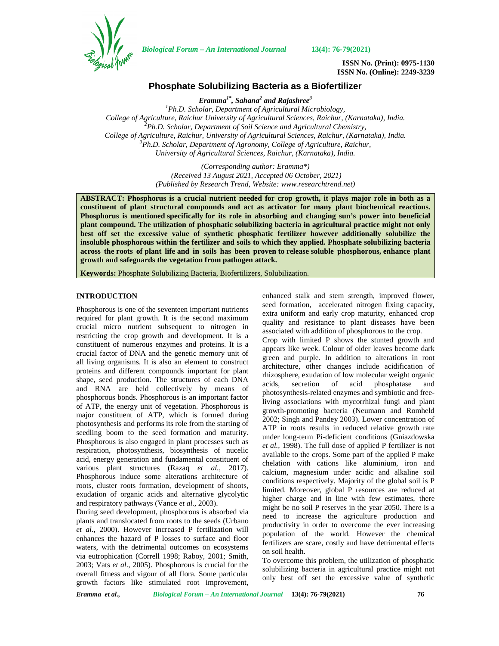

*Biological Forum – An International Journal* **13(4): 76-79(2021)**

**ISSN No. (Print): 0975-1130 ISSN No. (Online): 2249-3239**

# **Phosphate Solubilizing Bacteria as a Biofertilizer**

*Eramma1\* , Sahana<sup>2</sup> and Rajashree<sup>3</sup> <sup>1</sup>Ph.D. Scholar, Department of Agricultural Microbiology, College of Agriculture, Raichur University of Agricultural Sciences, Raichur, (Karnataka), India. <sup>2</sup>Ph.D. Scholar, Department of Soil Science and Agricultural Chemistry, College of Agriculture, Raichur, University of Agricultural Sciences, Raichur, (Karnataka), India. <sup>3</sup>Ph.D. Scholar, Department of Agronomy, College of Agriculture, Raichur, University of Agricultural Sciences, Raichur, (Karnataka), India.*

> *(Corresponding author: Eramma\*) (Received 13 August 2021, Accepted 06 October, 2021) (Published by Research Trend, Website: [www.researchtrend.net\)](www.researchtrend.net)*

**ABSTRACT: Phosphorus is a crucial nutrient needed for crop growth, it plays major role in both as a constituent of plant structural compounds and act as activator for many plant biochemical reactions. Phosphorus is mentioned specifically for its role in absorbing and changing sun's power into beneficial plant compound. The utilization of phosphatic solubilizing bacteria in agricultural practice might not only best off set the excessive value of synthetic phosphatic fertilizer however additionally solubilize the insoluble phosphorous within the fertilizer and soils to which they applied. Phosphate solubilizing bacteria across the roots of plant life and in soils has been proven to release soluble phosphorous, enhance plant growth and safeguards the vegetation from pathogen attack.**

**Keywords:** Phosphate Solubilizing Bacteria, Biofertilizers, Solubilization.

# **INTRODUCTION**

Phosphorous is one of the seventeen important nutrients required for plant growth. It is the second maximum crucial micro nutrient subsequent to nitrogen in restricting the crop growth and development. It is a constituent of numerous enzymes and proteins. It is a crucial factor of DNA and the genetic memory unit of all living organisms. It is also an element to construct proteins and different compounds important for plant shape, seed production. The structures of each DNA acids, secretion and RNA are held collectively by means of phosphorous bonds. Phosphorous is an important factor of ATP, the energy unit of vegetation. Phosphorous is major constituent of ATP, which is formed during photosynthesis and performs its role from the starting of seedling boom to the seed formation and maturity. Phosphorous is also engaged in plant processes such as respiration, photosynthesis, biosynthesis of nucelic acid, energy generation and fundamental constituent of various plant structures (Razaq *et al.,* 2017). Phosphorous induce some alterations architecture of roots, cluster roots formation, development of shoots, exudation of organic acids and alternative glycolytic and respiratory pathways (Vance *et al.,* 2003).

During seed development, phosphorous is absorbed via plants and translocated from roots to the seeds (Urbano *et al.,* 2000). However increased P fertilization will enhances the hazard of P losses to surface and floor waters, with the detrimental outcomes on ecosystems via eutrophication (Correll 1998; Raboy, 2001; Smith, 2003; Vats *et al*., 2005). Phosphorous is crucial for the overall fitness and vigour of all flora. Some particular growth factors like stimulated root improvement, enhanced stalk and stem strength, improved flower, seed formation, accelerated nitrogen fixing capacity, extra uniform and early crop maturity, enhanced crop quality and resistance to plant diseases have been associated with addition of phosphorous to the crop.

Crop with limited P shows the stunted growth and appears like week. Colour of older leaves become dark green and purple. In addition to alterations in root architecture, other changes include acidification of rhizosphere, exudation of low molecular weight organic of acid phosphatase and photosynthesis-related enzymes and symbiotic and freeliving associations with mycorrhizal fungi and plant growth-promoting bacteria (Neumann and Romheld 2002; Singh and Pandey 2003). Lower concentration of ATP in roots results in reduced relative growth rate under long-term Pi-deficient conditions (Gniazdowska *et al.,* 1998). The full dose of applied P fertilizer is not available to the crops. Some part of the applied P make chelation with cations like aluminium, iron and calcium, magnesium under acidic and alkaline soil conditions respectively. Majority of the global soil is P limited. Moreover, global P resources are reduced at higher charge and in line with few estimates, there might be no soil P reserves in the year 2050. There is a need to increase the agriculture production and productivity in order to overcome the ever increasing population of the world. However the chemical fertilizers are scare, costly and have detrimental effects on soil health.

To overcome this problem, the utilization of phosphatic solubilizing bacteria in agricultural practice might not only best off set the excessive value of synthetic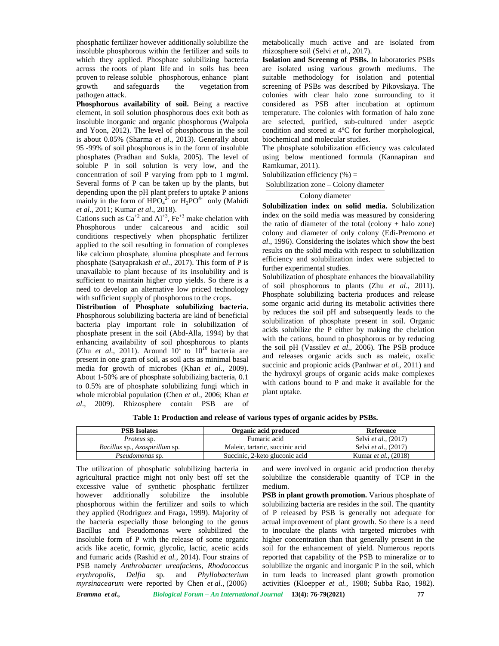phosphatic fertilizer however additionally solubilize the insoluble phosphorous within the fertilizer and soils to which they applied. Phosphate solubilizing bacteria across the roots of plant life and in soils has been proven to release soluble phosphorous, enhance plant growth and safeguards the vegetation from pathogen attack.

**Phosphorous availability of soil.** Being a reactive element, in soil solution phosphorous does exit both as insoluble inorganic and organic phosphorous (Walpola and Yoon, 2012). The level of phosphorous in the soil is about 0.05% (Sharma *et al*., 2013). Generally about 95 -99% of soil phosphorous is in the form of insoluble phosphates (Pradhan and Sukla, 2005). The level of soluble P in soil solution is very low, and the concentration of soil P varying from ppb to 1 mg/ml. Several forms of P can be taken up by the plants, but depending upon the pH plant prefers to uptake P anions mainly in the form of  $HPO_4^{2}$  or  $H_2PO^{4-}$  only (Mahidi *et al*., 2011; Kumar *et al*., 2018).

Cations such as  $Ca^{+2}$  and  $Al^{+3}$ ,  $Fe^{+3}$  make chelation with Phosphorous under calcareous and acidic soil conditions respectively when phopsphatic fertilizer applied to the soil resulting in formation of complexes like calcium phosphate, alumina phosphate and ferrous phosphate (Satyaprakash *et al*., 2017). This form of P is unavailable to plant because of its insolubility and is sufficient to maintain higher crop yields. So there is a need to develop an alternative low priced technology with sufficient supply of phosphorous to the crops.

**Distribution of Phosphate solubilizing bacteria.** Phosphorous solubilizing bacteria are kind of beneficial bacteria play important role in solubilization of phosphate present in the soil (Abd-Alla, 1994) by that enhancing availability of soil phosphorous to plants (Zhu *et al.*, 2011). Around  $10^1$  to  $10^{10}$  bacteria are the present in one gram of soil, as soil acts as minimal basal media for growth of microbes (Khan *et al*., 2009). About 1-50% are of phosphate solubilizing bacteria, 0.1 to 0.5% are of phosphate solubilizing fungi which in whole microbial population (Chen *et al.,* 2006; Khan *et al*., 2009). Rhizosphere contain PSB are of

metabolically much active and are isolated from rhizosphere soil (Selvi *et al*., 2017).

**Isolation and Screenng of PSBs.** In laboratories PSBs are isolated using various growth mediums. The suitable methodology for isolation and potential screening of PSBs was described by Pikovskaya. The colonies with clear halo zone surrounding to it considered as PSB after incubation at optimum temperature. The colonies with formation of halo zone are selected, purified, sub-cultured under aseptic condition and stored at 4ºC for further morphological, biochemical and molecular studies.

The phosphate solubilization efficiency was calculated using below mentioned formula (Kannapiran and Ramkumar, 2011).

Solubilization efficiency  $(\% )$  =

Solubilization zone – Colony diameter

#### Colony diameter

**Solubilization index on solid media.** Solubilization index on the soild media was measured by considering the ratio of diameter of the total (colony + halo zone) colony and diameter of only colony (Edi-Premono *et al*., 1996). Considering the isolates which show the best results on the solid media with respect to solubilization efficiency and solubilization index were subjected to further experimental studies.

Solubilization of phosphate enhances the bioavailability of soil phosphorous to plants (Zhu *et al*., 2011). Phosphate solubilizing bacteria produces and release some organic acid during its metabolic activities there by reduces the soil pH and subsequently leads to the solubilization of phosphate present in soil. Organic acids solubilize the P either by making the chelation with the cations, bound to phosphorous or by reducing the soil pH (Vassilev *et al*., 2006). The PSB produce and releases organic acids such as maleic, oxalic succinic and propionic acids (Panhwar *et al.,* 2011) and the hydroxyl groups of organic acids make complexes with cations bound to P and make it available for the plant uptake.

**Table 1: Production and release of various types of organic acides by PSBs.**

| <b>PSB</b> Isolates                          | Organic acid produced           | Reference                    |
|----------------------------------------------|---------------------------------|------------------------------|
| <i>Proteus</i> sp.                           | Fumaric acid                    | Selvi et al., (2017)         |
| <i>Bacillus</i> sp., <i>Azospirillum</i> sp. | Maleic, tartaric, succinic acid | Selvi <i>et al.</i> , (2017) |
| <i>Pseudomonas</i> sp.                       | Succinic, 2-keto gluconic acid  | Kumar et al., (2018)         |

*Eramma et al., Biological Forum – An International Journal* **13(4): 76-79(2021) 77** The utilization of phosphatic solubilizing bacteria in agricultural practice might not only best off set the excessive value of synthetic phosphatic fertilizer however additionally solubilize the insoluble phosphorous within the fertilizer and soils to which they applied (Rodriguez and Fraga, 1999). Majority of the bacteria especially those belonging to the genus Bacillus and Pseudomonas were solubilized the insoluble form of P with the release of some organic acids like acetic, formic, glycolic, lactic, acetic acids and fumaric acids (Rashid *et al.,* 2014). Four strains of PSB namely *Anthrobacter ureafaciens, Rhodococcus erythropolis, Delfia* sp. and *Phyllobacterium myrsinacearum* were reported by Chen *et al.,* (2006)

and were involved in organic acid production thereby solubilize the considerable quantity of TCP in the medium.

**PSB in plant growth promotion.** Various phosphate of solubilizing bacteria are resides in the soil. The quantity of P released by PSB is generally not adequate for actual improvement of plant growth. So there is a need to inoculate the plants with targeted microbes with higher concentration than that generally present in the soil for the enhancement of yield. Numerous reports reported that capability of the PSB to mineralize or to solubilize the organic and inorganic P in the soil, which in turn leads to increased plant growth promotion activities (Kloepper *et al.,* 1988; Subba Rao, 1982).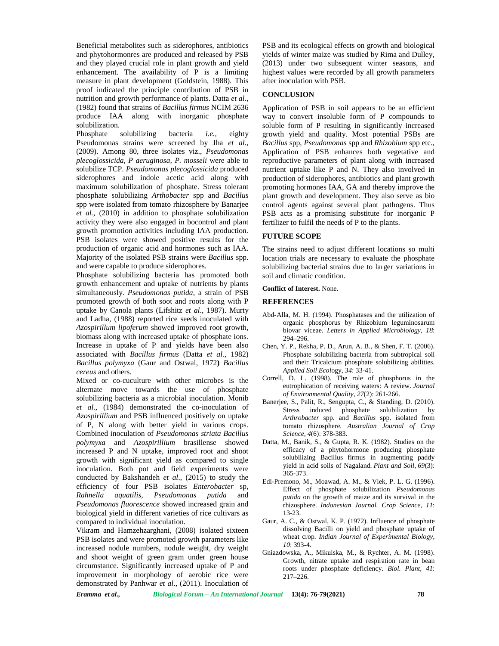Beneficial metabolites such as siderophores, antibiotics and phytohormonres are produced and released by PSB and they played crucial role in plant growth and yield enhancement. The availability of P is a limiting measure in plant development (Goldstein, 1988). This proof indicated the principle contribution of PSB in nutrition and growth performance of plants. Datta *et al.,* (1982) found that strains of *Bacillus firmus* NCIM 2636 produce IAA along with inorganic phosphate solubilization.<br>Phosphate

solubilizing bacteria *i.e.*, eighty Pseudomonas strains were screened by Jha *et al.,* (2009). Among 80, three isolates viz., *Pseudomonas plecoglossicida, P aeruginosa, P. mosseli* were able to solubilize TCP. *Pseudomonas plecoglossicida* produced siderophores and indole acetic acid along with maximum solubilization of phosphate. Stress tolerant phosphate solubilizing *Arthobacter* spp and *Bacillus* spp were isolated from tomato rhizosphere by Banarjee *et al.,* (2010) in addition to phosphate solubilization activity they were also engaged in bocontrol and plant growth promotion activities including IAA production. PSB isolates were showed positive results for the production of organic acid and hormones such as IAA. Majority of the isolated PSB strains were *Bacillus* spp. and were capable to produce siderophores.

Phosphate solubilizing bacteria has promoted both growth enhancement and uptake of nutrients by plants simultaneously. *Pseudomonas putida*, a strain of PSB promoted growth of both soot and roots along with P uptake by Canola plants (Lifshitz *et al*., 1987). Murty and Ladha, (1988) reported rice seeds inoculated with *Azospirillum lipoferum* showed improved root growth, biomass along with increased uptake of phosphate ions. Increase in uptake of P and yields have been also associated with *Bacillus firmus* (Datta *et al.,* 1982) *Bacillus polymyxa* (Gaur and Ostwal, 1972**)** *Bacillus cereus* and others.

Mixed or co-cuculture with other microbes is the alternate move towards the use of phosphate solubilizing bacteria as a microbial inoculation. Monib *et al*., (1984) demonstrated the co-inoculation of *Azospirillium* and PSB influenced positively on uptake of P, N along with better yield in various crops. Combined inoculation of *Pseudomonas striata Bacillus polymyxa* and *Azospirillium* brasillense showed increased P and N uptake, improved root and shoot growth with significant yield as compared to single inoculation. Both pot and field experiments were conducted by Bakshandeh *et al*., (2015) to study the efficiency of four PSB isolates *Enterobacter* sp*, Rahnella aquatilis, Pseudomonas putida* and *Pseudomonas fluorescence* showed increased grain and biological yield in different varieties of rice cultivars as compared to individual inoculation.

Vikram and Hamzehzarghani, (2008) isolated sixteen PSB isolates and were promoted growth parameters like increased nodule numbers, nodule weight, dry weight and shoot weight of green gram under green house circumstance. Significantly increased uptake of P and improvement in morphology of aerobic rice were demonstrated by Panhwar *et al*., (2011). Inoculation of

PSB and its ecological effects on growth and biological yields of winter maize was studied by Rima and Dulley, (2013) under two subsequent winter seasons, and highest values were recorded by all growth parameters after inoculation with PSB.

# **CONCLUSION**

Application of PSB in soil appears to be an efficient way to convert insoluble form of P compounds to soluble form of P resulting in significantly increased growth yield and quality. Most potential PSBs are *Bacillus* spp, *Pseudomonas* spp and *Rhizobium* spp etc., Application of PSB enhances both vegetative and reproductive parameters of plant along with increased nutrient uptake like P and N. They also involved in production of siderophores, antibiotics and plant growth promoting hormones IAA, GA and thereby improve the plant growth and development. They also serve as bio control agents against several plant pathogens. Thus PSB acts as a promising substitute for inorganic P fertilizer to fulfil the needs of P to the plants.

## **FUTURE SCOPE**

The strains need to adjust different locations so multi location trials are necessary to evaluate the phosphate solubilizing bacterial strains due to larger variations in soil and climatic condition.

## **Conflict of Interest.** None.

## **REFERENCES**

- Abd-Alla, M. H. (1994). Phosphatases and the utilization of organic phosphorus by Rhizobium leguminosarum biovar viceae. *Letters in Applied Microbiology, 18*: 294–296.
- Chen, Y. P., Rekha, P. D., Arun, A. B., & Shen, F. T. (2006). Phosphate solubilizing bacteria from subtropical soil and their Tricalcium phosphate solubilizing abilities. *Applied Soil Ecol*ogy, *34*: 33-41.
- Correll, D. L. (1998). The role of phosphorus in the eutrophication of receiving waters: A review. *Journal of Environmental Quality*, *27*(2): 261-266.
- Banerjee, S., Palit, R., Sengupta, C., & Standing, D. (2010). Stress induced phosphate solubilization by *Arthrobacter* spp. and *Bacillus* spp. isolated from tomato rhizosphere*. Australian Journal of Crop Science, 4*(6): 378-383.
- Datta, M., Banik, S., & Gupta, R. K. (1982). Studies on the efficacy of a phytohormone producing phosphate solubilizing Bacillus firmus in augmenting paddy yield in acid soils of Nagaland. *Plant and Soil*, *69*(3): 365-373.
- Edi-Premono, M., Moawad, A. M., & Vlek, P. L. G. (1996). Effect of phosphate solubilization *Pseudomonas putida* on the growth of maize and its survival in the rhizosphere. *Indonesian Journal. Crop Science, 11*: 13-23.
- Gaur, A. C., & Ostwal, K. P. (1972). Influence of phosphate dissolving Bacilli on yield and phosphate uptake of wheat crop*. Indian Journal of Experimental Biology*, *10*: 393-4.
- Gniazdowska, A., Mikulska, M., & Rychter, A. M. (1998). Growth, nitrate uptake and respiration rate in bean roots under phosphate deficiency. *Biol. Plant, 41*: 217–226.

*Eramma et al., Biological Forum – An International Journal* **13(4): 76-79(2021) 78**